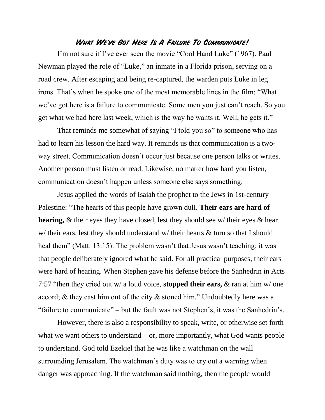## **What We've Got Here Is A Failure To Communicate!**

I'm not sure if I've ever seen the movie "Cool Hand Luke" (1967). Paul Newman played the role of "Luke," an inmate in a Florida prison, serving on a road crew. After escaping and being re-captured, the warden puts Luke in leg irons. That's when he spoke one of the most memorable lines in the film: "What we've got here is a failure to communicate. Some men you just can't reach. So you get what we had here last week, which is the way he wants it. Well, he gets it."

That reminds me somewhat of saying "I told you so" to someone who has had to learn his lesson the hard way. It reminds us that communication is a twoway street. Communication doesn't occur just because one person talks or writes. Another person must listen or read. Likewise, no matter how hard you listen, communication doesn't happen unless someone else says something.

Jesus applied the words of Isaiah the prophet to the Jews in 1st-century Palestine: "The hearts of this people have grown dull. **Their ears are hard of hearing,** & their eyes they have closed, lest they should see w/ their eyes & hear w/ their ears, lest they should understand w/ their hearts & turn so that I should heal them" (Matt. 13:15). The problem wasn't that Jesus wasn't teaching; it was that people deliberately ignored what he said. For all practical purposes, their ears were hard of hearing. When Stephen gave his defense before the Sanhedrin in Acts 7:57 "then they cried out w/ a loud voice, **stopped their ears,** & ran at him w/ one accord; & they cast him out of the city & stoned him." Undoubtedly here was a "failure to communicate" – but the fault was not Stephen's, it was the Sanhedrin's.

However, there is also a responsibility to speak, write, or otherwise set forth what we want others to understand – or, more importantly, what God wants people to understand. God told Ezekiel that he was like a watchman on the wall surrounding Jerusalem. The watchman's duty was to cry out a warning when danger was approaching. If the watchman said nothing, then the people would